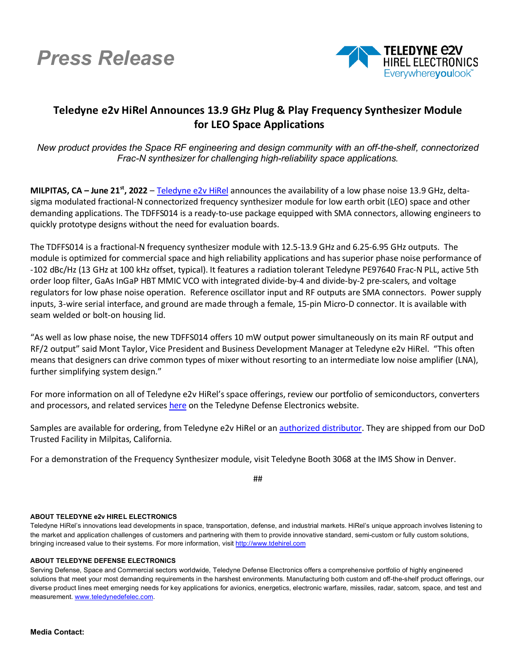



## **Teledyne e2v HiRel Announces 13.9 GHz Plug & Play Frequency Synthesizer Module for LEO Space Applications**

*New product provides the Space RF engineering and design community with an off-the-shelf, connectorized Frac-N synthesizer for challenging high-reliability space applications.*

**MILPITAS, CA – June 21st, 2022** – [Teledyne e2v](https://www.teledynedefenseelectronics.com/e2vhrel/Pages/About%20Us.aspx) HiRel announces the availability of a low phase noise 13.9 GHz, deltasigma modulated fractional-N connectorized frequency synthesizer module for low earth orbit (LEO) space and other demanding applications. The TDFFS014 is a ready-to-use package equipped with SMA connectors, allowing engineers to quickly prototype designs without the need for evaluation boards.

The TDFFS014 is a fractional-N frequency synthesizer module with 12.5-13.9 GHz and 6.25-6.95 GHz outputs. The module is optimized for commercial space and high reliability applications and has superior phase noise performance of -102 dBc/Hz (13 GHz at 100 kHz offset, typical). It features a radiation tolerant Teledyne PE97640 Frac-N PLL, active 5th order loop filter, GaAs InGaP HBT MMIC VCO with integrated divide-by-4 and divide-by-2 pre-scalers, and voltage regulators for low phase noise operation. Reference oscillator input and RF outputs are SMA connectors. Power supply inputs, 3-wire serial interface, and ground are made through a female, 15-pin Micro-D connector. It is available with seam welded or bolt-on housing lid.

"As well as low phase noise, the new TDFFS014 offers 10 mW output power simultaneously on its main RF output and RF/2 output" said Mont Taylor, Vice President and Business Development Manager at Teledyne e2v HiRel. "This often means that designers can drive common types of mixer without resorting to an intermediate low noise amplifier (LNA), further simplifying system design."

For more information on all of Teledyne e2v HiRel's space offerings, review our portfolio of semiconductors, converters and processors, and related services [here](https://www.teledynedefenseelectronics.com/e2vhrel/products/Pages/e2v%20HIREL%20ELECTRONICS.aspx) on the Teledyne Defense Electronics website.

Samples are available for ordering, from Teledyne e2v HiRel or a[n authorized distributor.](https://www.teledynedefenseelectronics.com/e2vhrel/Pages/Where-to-Buy.aspx) They are shipped from our DoD Trusted Facility in Milpitas, California.

For a demonstration of the Frequency Synthesizer module, visit Teledyne Booth 3068 at the IMS Show in Denver.

##

## **ABOUT TELEDYNE e2v HIREL ELECTRONICS**

Teledyne HiRel's innovations lead developments in space, transportation, defense, and industrial markets. HiRel's unique approach involves listening to the market and application challenges of customers and partnering with them to provide innovative standard, semi-custom or fully custom solutions, bringing increased value to their systems. For more information, visit [http://www.tdehirel.com](http://www.tdehirel.com/)

## **ABOUT TELEDYNE DEFENSE ELECTRONICS**

Serving Defense, Space and Commercial sectors worldwide, Teledyne Defense Electronics offers a comprehensive portfolio of highly engineered solutions that meet your most demanding requirements in the harshest environments. Manufacturing both custom and off-the-shelf product offerings, our diverse product lines meet emerging needs for key applications for avionics, energetics, electronic warfare, missiles, radar, satcom, space, and test and measurement. [www.teledynedefelec.com.](http://www.teledynedefelec.com/)